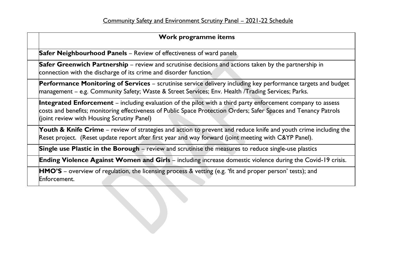| Work programme items                                                                                                                                                                                                                                                                 |
|--------------------------------------------------------------------------------------------------------------------------------------------------------------------------------------------------------------------------------------------------------------------------------------|
| <b>Safer Neighbourhood Panels</b> – Review of effectiveness of ward panels                                                                                                                                                                                                           |
| Safer Greenwich Partnership – review and scrutinise decisions and actions taken by the partnership in<br>connection with the discharge of its crime and disorder function.                                                                                                           |
| <b>Performance Monitoring of Services</b> – scrutinise service delivery including key performance targets and budget<br>management - e.g. Community Safety; Waste & Street Services; Env. Health /Trading Services; Parks.                                                           |
| <b>Integrated Enforcement</b> – including evaluation of the pilot with a third party enforcement company to assess<br>costs and benefits; monitoring effectiveness of Public Space Protection Orders; Safer Spaces and Tenancy Patrols<br>(joint review with Housing Scrutiny Panel) |
| Youth & Knife Crime – review of strategies and action to prevent and reduce knife and youth crime including the<br>Reset project. (Reset update report after first year and way forward (joint meeting with C&YP Panel).                                                             |
| Single use Plastic in the Borough – review and scrutinise the measures to reduce single-use plastics                                                                                                                                                                                 |
| <b>Ending Violence Against Women and Girls</b> – including increase domestic violence during the Covid-19 crisis.                                                                                                                                                                    |
| <b>HMO'S</b> – overview of regulation, the licensing process & vetting (e.g. 'fit and proper person' tests); and<br>Enforcement.                                                                                                                                                     |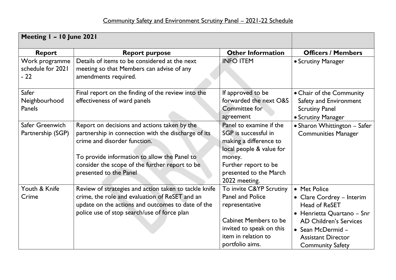| Meeting I - 10 June 2021                     |                                                                                                                                                                                                                                                                 |                                                                                                                                                                                    |                                                                                                                                                                                                               |
|----------------------------------------------|-----------------------------------------------------------------------------------------------------------------------------------------------------------------------------------------------------------------------------------------------------------------|------------------------------------------------------------------------------------------------------------------------------------------------------------------------------------|---------------------------------------------------------------------------------------------------------------------------------------------------------------------------------------------------------------|
| <b>Report</b>                                | <b>Report purpose</b>                                                                                                                                                                                                                                           | <b>Other Information</b>                                                                                                                                                           | <b>Officers / Members</b>                                                                                                                                                                                     |
| Work programme<br>schedule for 2021<br>$-22$ | Details of items to be considered at the next<br>meeting so that Members can advise of any<br>amendments required.                                                                                                                                              | <b>INFO ITEM</b>                                                                                                                                                                   | • Scrutiny Manager                                                                                                                                                                                            |
| Safer<br>Neighbourhood<br>Panels             | Final report on the finding of the review into the<br>effectiveness of ward panels                                                                                                                                                                              | If approved to be<br>forwarded the next O&S<br>Committee for<br>agreement                                                                                                          | • Chair of the Community<br>Safety and Environment<br><b>Scrutiny Panel</b><br>• Scrutiny Manager                                                                                                             |
| Safer Greenwich<br>Partnership (SGP)         | Report on decisions and actions taken by the<br>partnership in connection with the discharge of its<br>crime and disorder function.<br>To provide information to allow the Panel to<br>consider the scope of the further report to be<br>presented to the Panel | Panel to examine if the<br>SGP is successful in<br>making a difference to<br>local people & value for<br>money.<br>Further report to be<br>presented to the March<br>2022 meeting. | • Sharon Whittington - Safer<br><b>Communities Manager</b>                                                                                                                                                    |
| Youth & Knife<br>Crime                       | Review of strategies and action taken to tackle knife<br>crime, the role and evaluation of ReSET and an<br>update on the actions and outcomes to date of the<br>police use of stop search/use of force plan                                                     | To invite C&YP Scrutiny<br><b>Panel and Police</b><br>representative<br><b>Cabinet Members to be</b><br>invited to speak on this<br>item in relation to<br>portfolio aims.         | • Met Police<br>• Clare Cordrey - Interim<br><b>Head of ReSET</b><br>• Henrietta Quartano - Snr<br><b>AD Children's Services</b><br>• Sean McDermid -<br><b>Assistant Director</b><br><b>Community Safety</b> |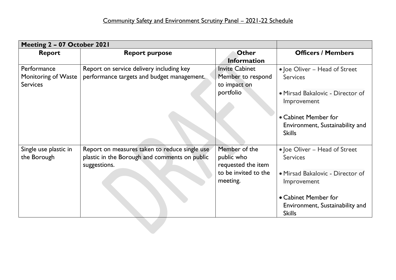| Meeting 2 - 07 October 2021 |                                               |                       |                                                  |
|-----------------------------|-----------------------------------------------|-----------------------|--------------------------------------------------|
| <b>Report</b>               | <b>Report purpose</b>                         | <b>Other</b>          | <b>Officers / Members</b>                        |
|                             |                                               | <b>Information</b>    |                                                  |
| Performance                 | Report on service delivery including key      | <b>Invite Cabinet</b> | • Joe Oliver - Head of Street                    |
| Monitoring of Waste         | performance targets and budget management.    | Member to respond     | <b>Services</b>                                  |
| <b>Services</b>             |                                               | to impact on          |                                                  |
|                             |                                               | portfolio             | · Mirsad Bakalovic - Director of                 |
|                             |                                               |                       | Improvement                                      |
|                             |                                               |                       | • Cabinet Member for                             |
|                             |                                               |                       | Environment, Sustainability and                  |
|                             |                                               |                       | <b>Skills</b>                                    |
|                             |                                               |                       |                                                  |
| Single use plastic in       | Report on measures taken to reduce single use | Member of the         | • Joe Oliver - Head of Street                    |
| the Borough                 | plastic in the Borough and comments on public | public who            | <b>Services</b>                                  |
|                             | suggestions.                                  | requested the item    |                                                  |
|                             |                                               | to be invited to the  | • Mirsad Bakalovic - Director of                 |
|                             |                                               | meeting.              | Improvement                                      |
|                             |                                               |                       |                                                  |
|                             |                                               |                       | • Cabinet Member for                             |
|                             |                                               |                       | Environment, Sustainability and<br><b>Skills</b> |
|                             |                                               |                       |                                                  |
|                             |                                               |                       |                                                  |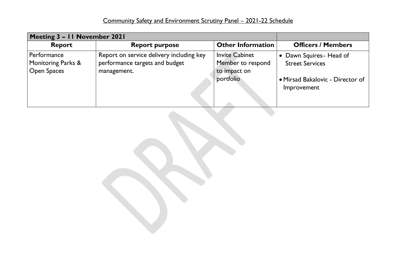| Meeting 3 - 11 November 2021      |                                                                            |                                            |                                                  |
|-----------------------------------|----------------------------------------------------------------------------|--------------------------------------------|--------------------------------------------------|
| <b>Report</b>                     | <b>Report purpose</b>                                                      | <b>Other Information</b>                   | <b>Officers / Members</b>                        |
| Performance<br>Monitoring Parks & | Report on service delivery including key<br>performance targets and budget | <b>Invite Cabinet</b><br>Member to respond | • Dawn Squires-Head of<br><b>Street Services</b> |
| <b>Open Spaces</b>                | management.                                                                | to impact on<br>portfolio                  | • Mirsad Bakalovic - Director of                 |
|                                   |                                                                            |                                            | Improvement                                      |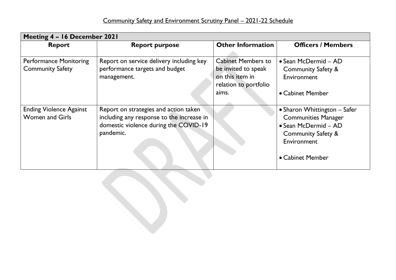| Meeting 4 - 16 December 2021                             |                                                                                                                                          |                                                                                              |                                                                                                                                                        |
|----------------------------------------------------------|------------------------------------------------------------------------------------------------------------------------------------------|----------------------------------------------------------------------------------------------|--------------------------------------------------------------------------------------------------------------------------------------------------------|
| <b>Report</b>                                            | <b>Report purpose</b>                                                                                                                    | <b>Other Information</b>                                                                     | <b>Officers / Members</b>                                                                                                                              |
| <b>Performance Monitoring</b><br><b>Community Safety</b> | Report on service delivery including key<br>performance targets and budget<br>management.                                                | <b>Cabinet Members to</b><br>be invited to speak<br>on this item in<br>relation to portfolio | • Sean McDermid – AD<br><b>Community Safety &amp;</b><br>Environment                                                                                   |
|                                                          |                                                                                                                                          | aims.                                                                                        | • Cabinet Member                                                                                                                                       |
| <b>Ending Violence Against</b><br><b>Women and Girls</b> | Report on strategies and action taken<br>including any response to the increase in<br>domestic violence during the COVID-19<br>pandemic. |                                                                                              | • Sharon Whittington - Safer<br><b>Communities Manager</b><br>• Sean McDermid - AD<br><b>Community Safety &amp;</b><br>Environment<br>• Cabinet Member |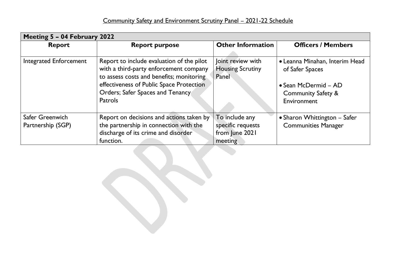| Meeting 5 - 04 February 2022  |                                                                                                                                 |                                                       |                                                   |
|-------------------------------|---------------------------------------------------------------------------------------------------------------------------------|-------------------------------------------------------|---------------------------------------------------|
| <b>Report</b>                 | <b>Report purpose</b>                                                                                                           | <b>Other Information</b>                              | <b>Officers / Members</b>                         |
| <b>Integrated Enforcement</b> | Report to include evaluation of the pilot<br>with a third-party enforcement company<br>to assess costs and benefits; monitoring | Joint review with<br><b>Housing Scrutiny</b><br>Panel | • Leanna Minahan, Interim Head<br>of Safer Spaces |
|                               | effectiveness of Public Space Protection                                                                                        |                                                       | • Sean McDermid - AD                              |
|                               | Orders; Safer Spaces and Tenancy                                                                                                |                                                       | <b>Community Safety &amp;</b>                     |
|                               | <b>Patrols</b>                                                                                                                  |                                                       | Environment                                       |
| Safer Greenwich               | Report on decisions and actions taken by                                                                                        | To include any                                        | • Sharon Whittington – Safer                      |
| Partnership (SGP)             | the partnership in connection with the                                                                                          | specific requests                                     | <b>Communities Manager</b>                        |
|                               | discharge of its crime and disorder                                                                                             | from June 2021                                        |                                                   |
|                               | function.                                                                                                                       | meeting                                               |                                                   |